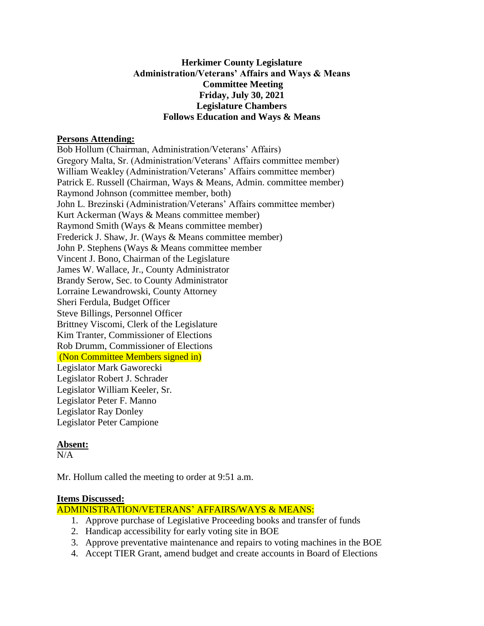# **Herkimer County Legislature Administration/Veterans' Affairs and Ways & Means Committee Meeting Friday, July 30, 2021 Legislature Chambers Follows Education and Ways & Means**

#### **Persons Attending:**

Bob Hollum (Chairman, Administration/Veterans' Affairs) Gregory Malta, Sr. (Administration/Veterans' Affairs committee member) William Weakley (Administration/Veterans' Affairs committee member) Patrick E. Russell (Chairman, Ways & Means, Admin. committee member) Raymond Johnson (committee member, both) John L. Brezinski (Administration/Veterans' Affairs committee member) Kurt Ackerman (Ways & Means committee member) Raymond Smith (Ways & Means committee member) Frederick J. Shaw, Jr. (Ways & Means committee member) John P. Stephens (Ways & Means committee member Vincent J. Bono, Chairman of the Legislature James W. Wallace, Jr., County Administrator Brandy Serow, Sec. to County Administrator Lorraine Lewandrowski, County Attorney Sheri Ferdula, Budget Officer Steve Billings, Personnel Officer Brittney Viscomi, Clerk of the Legislature Kim Tranter, Commissioner of Elections Rob Drumm, Commissioner of Elections (Non Committee Members signed in) Legislator Mark Gaworecki Legislator Robert J. Schrader Legislator William Keeler, Sr. Legislator Peter F. Manno Legislator Ray Donley Legislator Peter Campione

# **Absent:**

 $N/A$ 

Mr. Hollum called the meeting to order at 9:51 a.m.

# **Items Discussed:**

ADMINISTRATION/VETERANS' AFFAIRS/WAYS & MEANS:

- 1. Approve purchase of Legislative Proceeding books and transfer of funds
- 2. Handicap accessibility for early voting site in BOE
- 3. Approve preventative maintenance and repairs to voting machines in the BOE
- 4. Accept TIER Grant, amend budget and create accounts in Board of Elections